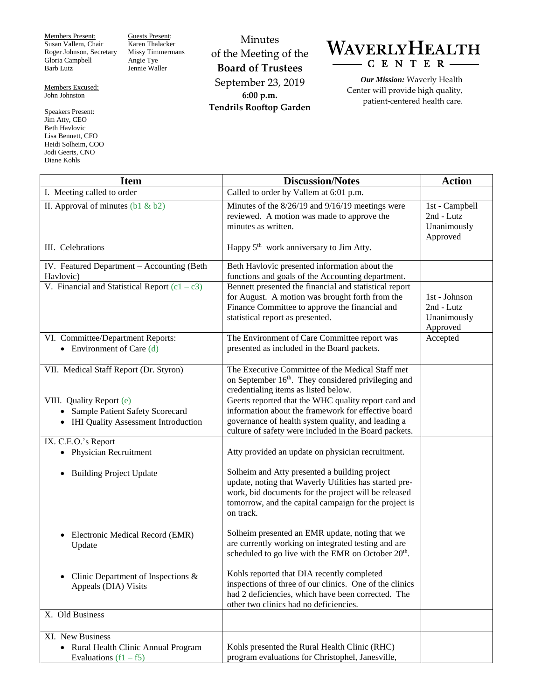Members Present: Susan Vallem, Chair Roger Johnson, Secretary Gloria Campbell Barb Lutz

Members Excused: John Johnston

Speakers Present: Jim Atty, CEO Beth Havlovic Lisa Bennett, CFO Heidi Solheim, COO Jodi Geerts, CNO Diane Kohls

Guests Present: Karen Thalacker Missy Timmermans Angie Tye Jennie Waller

Minutes of the Meeting of the **Board of Trustees** September 23, 2019 **6:00 p.m. Tendrils Rooftop Garden**

## WAVERLYHEALTH CENTER

*Our Mission:* Waverly Health Center will provide high quality, patient-centered health care.

| <b>Item</b>                                                                                            | <b>Discussion/Notes</b>                                                                                                                                                                                                               | <b>Action</b>                                           |
|--------------------------------------------------------------------------------------------------------|---------------------------------------------------------------------------------------------------------------------------------------------------------------------------------------------------------------------------------------|---------------------------------------------------------|
| I. Meeting called to order                                                                             | Called to order by Vallem at 6:01 p.m.                                                                                                                                                                                                |                                                         |
| II. Approval of minutes $(b1 \& b2)$                                                                   | Minutes of the 8/26/19 and 9/16/19 meetings were<br>reviewed. A motion was made to approve the<br>minutes as written.                                                                                                                 | 1st - Campbell<br>2nd - Lutz<br>Unanimously<br>Approved |
| III. Celebrations                                                                                      | Happy 5 <sup>th</sup> work anniversary to Jim Atty.                                                                                                                                                                                   |                                                         |
| IV. Featured Department - Accounting (Beth<br>Havlovic)                                                | Beth Havlovic presented information about the<br>functions and goals of the Accounting department.                                                                                                                                    |                                                         |
| V. Financial and Statistical Report $(c1 - c3)$                                                        | Bennett presented the financial and statistical report<br>for August. A motion was brought forth from the<br>Finance Committee to approve the financial and<br>statistical report as presented.                                       | 1st - Johnson<br>2nd - Lutz<br>Unanimously<br>Approved  |
| VI. Committee/Department Reports:<br>• Environment of Care $(d)$                                       | The Environment of Care Committee report was<br>presented as included in the Board packets.                                                                                                                                           | Accepted                                                |
| VII. Medical Staff Report (Dr. Styron)                                                                 | The Executive Committee of the Medical Staff met<br>on September 16 <sup>th</sup> . They considered privileging and<br>credentialing items as listed below.                                                                           |                                                         |
| VIII. Quality Report (e)<br>• Sample Patient Safety Scorecard<br>• IHI Quality Assessment Introduction | Geerts reported that the WHC quality report card and<br>information about the framework for effective board<br>governance of health system quality, and leading a<br>culture of safety were included in the Board packets.            |                                                         |
| IX. C.E.O.'s Report<br>• Physician Recruitment                                                         | Atty provided an update on physician recruitment.                                                                                                                                                                                     |                                                         |
| <b>Building Project Update</b><br>٠                                                                    | Solheim and Atty presented a building project<br>update, noting that Waverly Utilities has started pre-<br>work, bid documents for the project will be released<br>tomorrow, and the capital campaign for the project is<br>on track. |                                                         |
| Electronic Medical Record (EMR)<br>Update                                                              | Solheim presented an EMR update, noting that we<br>are currently working on integrated testing and are<br>scheduled to go live with the EMR on October 20 <sup>th</sup> .                                                             |                                                         |
| Clinic Department of Inspections $\&$<br>Appeals (DIA) Visits                                          | Kohls reported that DIA recently completed<br>inspections of three of our clinics. One of the clinics<br>had 2 deficiencies, which have been corrected. The<br>other two clinics had no deficiencies.                                 |                                                         |
| X. Old Business                                                                                        |                                                                                                                                                                                                                                       |                                                         |
| XI. New Business                                                                                       |                                                                                                                                                                                                                                       |                                                         |
| • Rural Health Clinic Annual Program<br>Evaluations $(f1 - f5)$                                        | Kohls presented the Rural Health Clinic (RHC)<br>program evaluations for Christophel, Janesville,                                                                                                                                     |                                                         |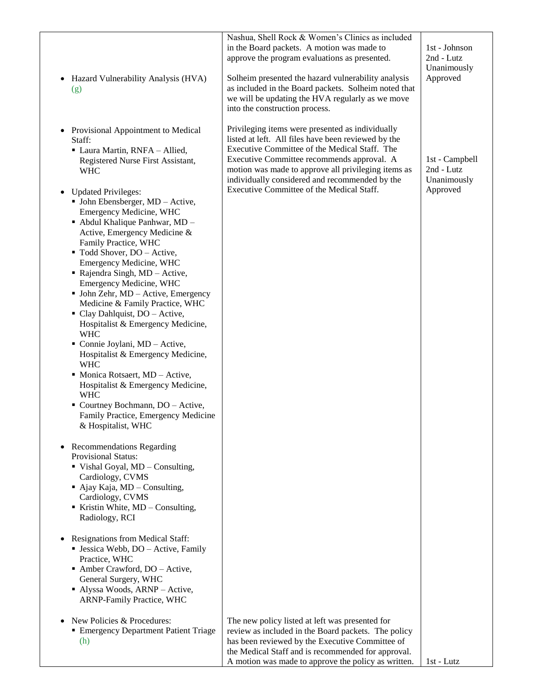| Hazard Vulnerability Analysis (HVA)<br>$\bullet$<br>(g)                                                                                                                                                                                                                                                                                                                                                                                                                                                                                                                                                                                                                                                                                                                           | Nashua, Shell Rock & Women's Clinics as included<br>in the Board packets. A motion was made to<br>approve the program evaluations as presented.<br>Solheim presented the hazard vulnerability analysis<br>as included in the Board packets. Solheim noted that         | 1st - Johnson<br>2nd - Lutz<br>Unanimously<br>Approved |
|-----------------------------------------------------------------------------------------------------------------------------------------------------------------------------------------------------------------------------------------------------------------------------------------------------------------------------------------------------------------------------------------------------------------------------------------------------------------------------------------------------------------------------------------------------------------------------------------------------------------------------------------------------------------------------------------------------------------------------------------------------------------------------------|------------------------------------------------------------------------------------------------------------------------------------------------------------------------------------------------------------------------------------------------------------------------|--------------------------------------------------------|
| Provisional Appointment to Medical<br>$\bullet$                                                                                                                                                                                                                                                                                                                                                                                                                                                                                                                                                                                                                                                                                                                                   | we will be updating the HVA regularly as we move<br>into the construction process.<br>Privileging items were presented as individually                                                                                                                                 |                                                        |
| Staff:<br>• Laura Martin, RNFA - Allied,<br>Registered Nurse First Assistant,<br><b>WHC</b>                                                                                                                                                                                                                                                                                                                                                                                                                                                                                                                                                                                                                                                                                       | listed at left. All files have been reviewed by the<br>Executive Committee of the Medical Staff. The<br>Executive Committee recommends approval. A<br>motion was made to approve all privileging items as<br>individually considered and recommended by the            | 1st - Campbell<br>2nd - Lutz<br>Unanimously            |
| <b>Updated Privileges:</b><br>$\bullet$<br>$\blacksquare$ John Ebensberger, MD - Active,<br>Emergency Medicine, WHC<br>- Abdul Khalique Panhwar, MD -<br>Active, Emergency Medicine &<br>Family Practice, WHC<br>■ Todd Shover, DO - Active,<br>Emergency Medicine, WHC<br>• Rajendra Singh, $MD - Active$ ,<br>Emergency Medicine, WHC<br>• John Zehr, MD - Active, Emergency<br>Medicine & Family Practice, WHC<br>• Clay Dahlquist, DO - Active,<br>Hospitalist & Emergency Medicine,<br><b>WHC</b><br>Connie Joylani, MD - Active,<br>Hospitalist & Emergency Medicine,<br><b>WHC</b><br>• Monica Rotsaert, MD - Active,<br>Hospitalist & Emergency Medicine,<br><b>WHC</b><br>• Courtney Bochmann, DO - Active,<br>Family Practice, Emergency Medicine<br>& Hospitalist, WHC | Executive Committee of the Medical Staff.                                                                                                                                                                                                                              | Approved                                               |
| <b>Recommendations Regarding</b><br>Provisional Status:<br>$\blacksquare$ Vishal Goyal, MD – Consulting,<br>Cardiology, CVMS<br>$\blacksquare$ Ajay Kaja, MD – Consulting,<br>Cardiology, CVMS<br>■ Kristin White, $MD -$ Consulting,<br>Radiology, RCI                                                                                                                                                                                                                                                                                                                                                                                                                                                                                                                           |                                                                                                                                                                                                                                                                        |                                                        |
| <b>Resignations from Medical Staff:</b><br>$\bullet$<br>• Jessica Webb, DO – Active, Family<br>Practice, WHC<br>• Amber Crawford, DO - Active,<br>General Surgery, WHC<br>Alyssa Woods, ARNP - Active,<br>ARNP-Family Practice, WHC                                                                                                                                                                                                                                                                                                                                                                                                                                                                                                                                               |                                                                                                                                                                                                                                                                        |                                                        |
| New Policies & Procedures:<br>$\bullet$<br><b>Emergency Department Patient Triage</b><br>(h)                                                                                                                                                                                                                                                                                                                                                                                                                                                                                                                                                                                                                                                                                      | The new policy listed at left was presented for<br>review as included in the Board packets. The policy<br>has been reviewed by the Executive Committee of<br>the Medical Staff and is recommended for approval.<br>A motion was made to approve the policy as written. | 1st - Lutz                                             |